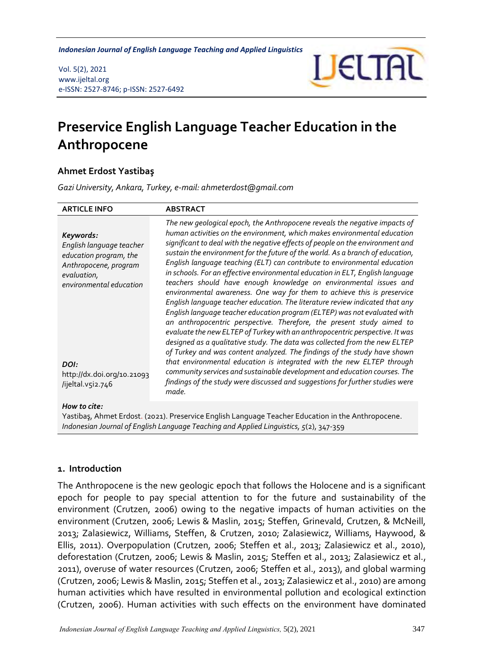*Preservice English Language Teacher Education in the Anthropocene Indonesian Journal of English Language Teaching and Applied Linguistics*

Vol. 5(2), 2021 www.ijeltal.org e-ISSN: 2527-8746; p-ISSN: 2527-6492



# **Preservice English Language Teacher Education in the Anthropocene**

## **Ahmet Erdost Yastibaş**

*Gazi University, Ankara, Turkey, e-mail: ahmeterdost@gmail.com*

| <b>ARTICLE INFO</b>                                                                                                                                                                           | <b>ABSTRACT</b>                                                                                                                                                                                                                                                                                                                                                                                                                                                                                                                                                                                                                                                                                                                                                                                                                                                                                                                                                                                                                                                                                                                                                                                                                                                                                                                                                          |
|-----------------------------------------------------------------------------------------------------------------------------------------------------------------------------------------------|--------------------------------------------------------------------------------------------------------------------------------------------------------------------------------------------------------------------------------------------------------------------------------------------------------------------------------------------------------------------------------------------------------------------------------------------------------------------------------------------------------------------------------------------------------------------------------------------------------------------------------------------------------------------------------------------------------------------------------------------------------------------------------------------------------------------------------------------------------------------------------------------------------------------------------------------------------------------------------------------------------------------------------------------------------------------------------------------------------------------------------------------------------------------------------------------------------------------------------------------------------------------------------------------------------------------------------------------------------------------------|
| Keywords:<br>English language teacher<br>education program, the<br>Anthropocene, program<br>evaluation,<br>environmental education<br>DOI:<br>http://dx.doi.org/10.21093<br>/ijeltal.v5i2.746 | The new geological epoch, the Anthropocene reveals the negative impacts of<br>human activities on the environment, which makes environmental education<br>significant to deal with the negative effects of people on the environment and<br>sustain the environment for the future of the world. As a branch of education,<br>English language teaching (ELT) can contribute to environmental education<br>in schools. For an effective environmental education in ELT, English language<br>teachers should have enough knowledge on environmental issues and<br>environmental awareness. One way for them to achieve this is preservice<br>English language teacher education. The literature review indicated that any<br>English language teacher education program (ELTEP) was not evaluated with<br>an anthropocentric perspective. Therefore, the present study aimed to<br>evaluate the new ELTEP of Turkey with an anthropocentric perspective. It was<br>designed as a qualitative study. The data was collected from the new ELTEP<br>of Turkey and was content analyzed. The findings of the study have shown<br>that environmental education is integrated with the new ELTEP through<br>community services and sustainable development and education courses. The<br>findings of the study were discussed and suggestions for further studies were<br>made. |
| How to cite:                                                                                                                                                                                  |                                                                                                                                                                                                                                                                                                                                                                                                                                                                                                                                                                                                                                                                                                                                                                                                                                                                                                                                                                                                                                                                                                                                                                                                                                                                                                                                                                          |

Yastibaş, Ahmet Erdost. (2021). Preservice English Language Teacher Education in the Anthropocene. *Indonesian Journal of English Language Teaching and Applied Linguistics, 5*(2), 347-359

#### **1. Introduction**

The Anthropocene is the new geologic epoch that follows the Holocene and is a significant epoch for people to pay special attention to for the future and sustainability of the environment (Crutzen, 2006) owing to the negative impacts of human activities on the environment (Crutzen, 2006; Lewis & Maslin, 2015; Steffen, Grinevald, Crutzen, & McNeill, 2013; Zalasiewicz, Williams, Steffen, & Crutzen, 2010; Zalasiewicz, Williams, Haywood, & Ellis, 2011). Overpopulation (Crutzen, 2006; Steffen et al., 2013; Zalasiewicz et al., 2010), deforestation (Crutzen, 2006; Lewis & Maslin, 2015; Steffen et al., 2013; Zalasiewicz et al., 2011), overuse of water resources (Crutzen, 2006; Steffen et al., 2013), and global warming (Crutzen, 2006; Lewis & Maslin, 2015; Steffen et al., 2013; Zalasiewicz et al., 2010) are among human activities which have resulted in environmental pollution and ecological extinction (Crutzen, 2006). Human activities with such effects on the environment have dominated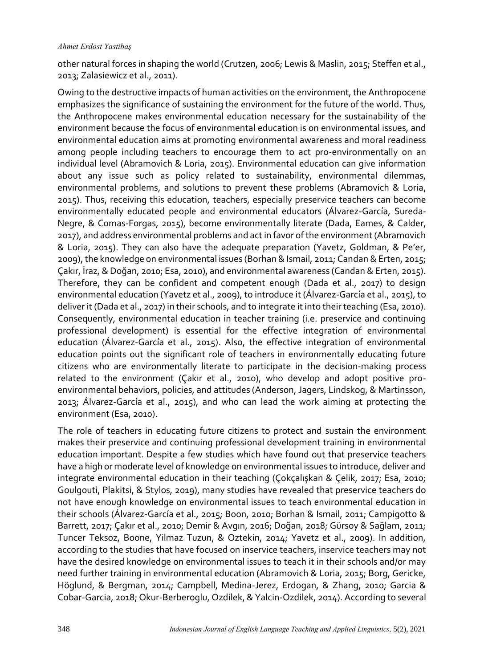#### *Ahmet Erdost Yastibaş*

other natural forces in shaping the world (Crutzen, 2006; Lewis & Maslin, 2015; Steffen et al., 2013; Zalasiewicz et al., 2011).

Owing to the destructive impacts of human activities on the environment, the Anthropocene emphasizes the significance of sustaining the environment for the future of the world. Thus, the Anthropocene makes environmental education necessary for the sustainability of the environment because the focus of environmental education is on environmental issues, and environmental education aims at promoting environmental awareness and moral readiness among people including teachers to encourage them to act pro-environmentally on an individual level (Abramovich & Loria, 2015). Environmental education can give information about any issue such as policy related to sustainability, environmental dilemmas, environmental problems, and solutions to prevent these problems (Abramovich & Loria, 2015). Thus, receiving this education, teachers, especially preservice teachers can become environmentally educated people and environmental educators (Álvarez-García, Sureda-Negre, & Comas-Forgas, 2015), become environmentally literate (Dada, Eames, & Calder, 2017), and address environmental problems and act in favor of the environment (Abramovich & Loria, 2015). They can also have the adequate preparation (Yavetz, Goldman, & Pe'er, 2009), the knowledge on environmental issues (Borhan & Ismail, 2011; Candan & Erten, 2015; Çakır, İraz, & Doğan, 2010; Esa, 2010), and environmental awareness (Candan & Erten, 2015). Therefore, they can be confident and competent enough (Dada et al., 2017) to design environmental education (Yavetz et al., 2009), to introduce it (Álvarez-García et al., 2015), to deliver it (Dada et al., 2017) in their schools, and to integrate it into their teaching (Esa, 2010). Consequently, environmental education in teacher training (i.e. preservice and continuing professional development) is essential for the effective integration of environmental education (Álvarez-García et al., 2015). Also, the effective integration of environmental education points out the significant role of teachers in environmentally educating future citizens who are environmentally literate to participate in the decision-making process related to the environment (Çakır et al., 2010), who develop and adopt positive proenvironmental behaviors, policies, and attitudes (Anderson, Jagers, Lindskog, & Martinsson, 2013; Álvarez-García et al., 2015), and who can lead the work aiming at protecting the environment (Esa, 2010).

The role of teachers in educating future citizens to protect and sustain the environment makes their preservice and continuing professional development training in environmental education important. Despite a few studies which have found out that preservice teachers have a high or moderate level of knowledge on environmental issues to introduce, deliver and integrate environmental education in their teaching (Çokçalışkan & Çelik, 2017; Esa, 2010; Goulgouti, Plakitsi, & Stylos, 2019), many studies have revealed that preservice teachers do not have enough knowledge on environmental issues to teach environmental education in their schools (Álvarez-García et al., 2015; Boon, 2010; Borhan & Ismail, 2011; Campigotto & Barrett, 2017; Çakır et al., 2010; Demir & Avgın, 2016; Doğan, 2018; Gürsoy & Sağlam, 2011; Tuncer Teksoz, Boone, Yilmaz Tuzun, & Oztekin, 2014; Yavetz et al., 2009). In addition, according to the studies that have focused on inservice teachers, inservice teachers may not have the desired knowledge on environmental issues to teach it in their schools and/or may need further training in environmental education (Abramovich & Loria, 2015; Borg, Gericke, Höglund, & Bergman, 2014; Campbell, Medina-Jerez, Erdogan, & Zhang, 2010; Garcia & Cobar-Garcia, 2018; Okur-Berberoglu, Ozdilek, & Yalcin-Ozdilek, 2014). According to several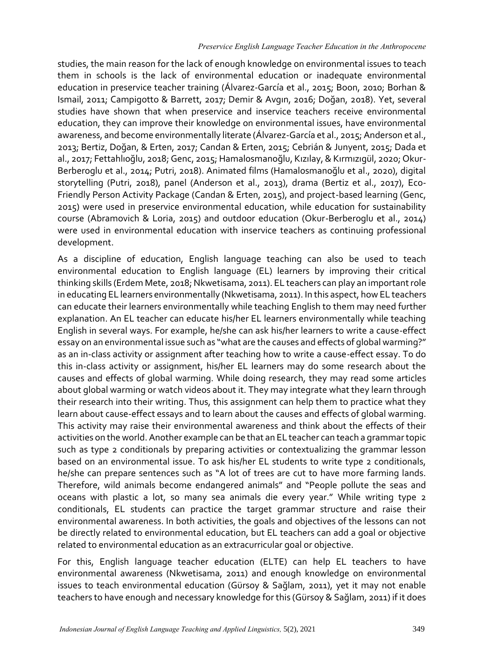studies, the main reason for the lack of enough knowledge on environmental issues to teach them in schools is the lack of environmental education or inadequate environmental education in preservice teacher training (Álvarez-García et al., 2015; Boon, 2010; Borhan & Ismail, 2011; Campigotto & Barrett, 2017; Demir & Avgın, 2016; Doğan, 2018). Yet, several studies have shown that when preservice and inservice teachers receive environmental education, they can improve their knowledge on environmental issues, have environmental awareness, and become environmentally literate (Álvarez-García et al., 2015; Anderson et al., 2013; Bertiz, Doğan, & Erten, 2017; Candan & Erten, 2015; Cebrián & Junyent, 2015; Dada et al., 2017; Fettahlıoğlu, 2018; Genc, 2015; Hamalosmanoğlu, Kızılay, & Kırmızıgül, 2020; Okur-Berberoglu et al., 2014; Putri, 2018). Animated films (Hamalosmanoğlu et al., 2020), digital storytelling (Putri, 2018), panel (Anderson et al., 2013), drama (Bertiz et al., 2017), Eco-Friendly Person Activity Package (Candan & Erten, 2015), and project-based learning (Genc, 2015) were used in preservice environmental education, while education for sustainability course (Abramovich & Loria, 2015) and outdoor education (Okur-Berberoglu et al., 2014) were used in environmental education with inservice teachers as continuing professional development.

As a discipline of education, English language teaching can also be used to teach environmental education to English language (EL) learners by improving their critical thinking skills (Erdem Mete, 2018; Nkwetisama, 2011). EL teachers can play an important role in educating EL learners environmentally (Nkwetisama, 2011). In this aspect, how EL teachers can educate their learners environmentally while teaching English to them may need further explanation. An EL teacher can educate his/her EL learners environmentally while teaching English in several ways. For example, he/she can ask his/her learners to write a cause-effect essay on an environmental issue such as "what are the causes and effects of global warming?" as an in-class activity or assignment after teaching how to write a cause-effect essay. To do this in-class activity or assignment, his/her EL learners may do some research about the causes and effects of global warming. While doing research, they may read some articles about global warming or watch videos about it. They may integrate what they learn through their research into their writing. Thus, this assignment can help them to practice what they learn about cause-effect essays and to learn about the causes and effects of global warming. This activity may raise their environmental awareness and think about the effects of their activities on the world. Another example can be that an EL teacher can teach a grammar topic such as type 2 conditionals by preparing activities or contextualizing the grammar lesson based on an environmental issue. To ask his/her EL students to write type 2 conditionals, he/she can prepare sentences such as "A lot of trees are cut to have more farming lands. Therefore, wild animals become endangered animals" and "People pollute the seas and oceans with plastic a lot, so many sea animals die every year." While writing type 2 conditionals, EL students can practice the target grammar structure and raise their environmental awareness. In both activities, the goals and objectives of the lessons can not be directly related to environmental education, but EL teachers can add a goal or objective related to environmental education as an extracurricular goal or objective.

For this, English language teacher education (ELTE) can help EL teachers to have environmental awareness (Nkwetisama, 2011) and enough knowledge on environmental issues to teach environmental education (Gürsoy & Sağlam, 2011), yet it may not enable teachers to have enough and necessary knowledge for this (Gürsoy & Sağlam, 2011) if it does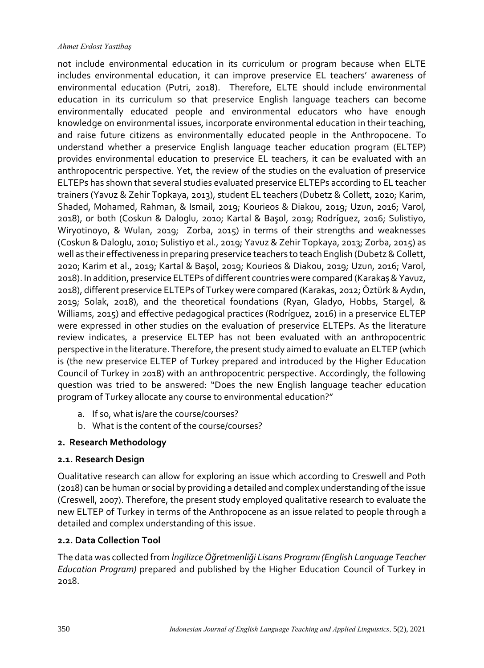#### *Ahmet Erdost Yastibaş*

not include environmental education in its curriculum or program because when ELTE includes environmental education, it can improve preservice EL teachers' awareness of environmental education (Putri, 2018). Therefore, ELTE should include environmental education in its curriculum so that preservice English language teachers can become environmentally educated people and environmental educators who have enough knowledge on environmental issues, incorporate environmental education in their teaching, and raise future citizens as environmentally educated people in the Anthropocene. To understand whether a preservice English language teacher education program (ELTEP) provides environmental education to preservice EL teachers, it can be evaluated with an anthropocentric perspective. Yet, the review of the studies on the evaluation of preservice ELTEPs has shown that several studies evaluated preservice ELTEPs according to EL teacher trainers (Yavuz & Zehir Topkaya, 2013), student EL teachers (Dubetz & Collett, 2020; Karim, Shaded, Mohamed, Rahman, & Ismail, 2019; Kourieos & Diakou, 2019; Uzun, 2016; Varol, 2018), or both (Coskun & Daloglu, 2010; Kartal & Başol, 2019; Rodríguez, 2016; Sulistiyo, Wiryotinoyo, & Wulan, 2019; Zorba, 2015) in terms of their strengths and weaknesses (Coskun & Daloglu, 2010; Sulistiyo et al., 2019; Yavuz & Zehir Topkaya, 2013; Zorba, 2015) as well as their effectiveness in preparing preservice teachers to teach English (Dubetz & Collett, 2020; Karim et al., 2019; Kartal & Başol, 2019; Kourieos & Diakou, 2019; Uzun, 2016; Varol, 2018). In addition, preservice ELTEPs of different countries were compared (Karakaş & Yavuz, 2018), different preservice ELTEPs of Turkey were compared (Karakas, 2012; Öztürk & Aydın, 2019; Solak, 2018), and the theoretical foundations (Ryan, Gladyo, Hobbs, Stargel, & Williams, 2015) and effective pedagogical practices (Rodríguez, 2016) in a preservice ELTEP were expressed in other studies on the evaluation of preservice ELTEPs. As the literature review indicates, a preservice ELTEP has not been evaluated with an anthropocentric perspective in the literature. Therefore, the present study aimed to evaluate an ELTEP (which is (the new preservice ELTEP of Turkey prepared and introduced by the Higher Education Council of Turkey in 2018) with an anthropocentric perspective. Accordingly, the following question was tried to be answered: "Does the new English language teacher education program of Turkey allocate any course to environmental education?"

- a. If so, what is/are the course/courses?
- b. What is the content of the course/courses?

# **2. Research Methodology**

# **2.1. Research Design**

Qualitative research can allow for exploring an issue which according to Creswell and Poth (2018) can be human or social by providing a detailed and complex understanding of the issue (Creswell, 2007). Therefore, the present study employed qualitative research to evaluate the new ELTEP of Turkey in terms of the Anthropocene as an issue related to people through a detailed and complex understanding of this issue.

# **2.2. Data Collection Tool**

The data was collected from *İngilizce Öğretmenliği Lisans Programı (English Language Teacher Education Program)* prepared and published by the Higher Education Council of Turkey in 2018.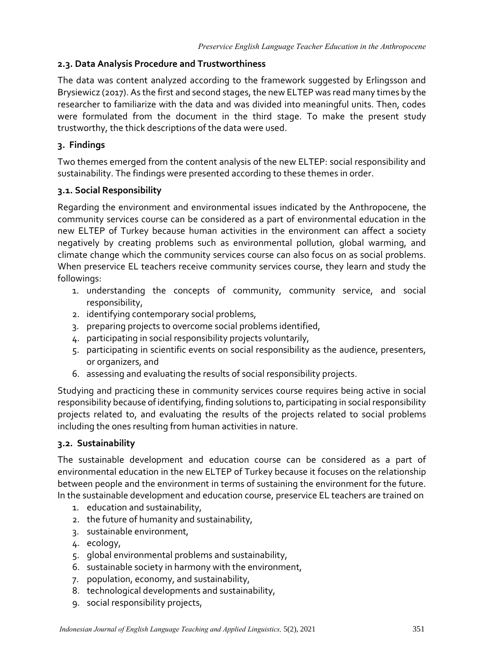# **2.3. Data Analysis Procedure and Trustworthiness**

The data was content analyzed according to the framework suggested by Erlingsson and Brysiewicz (2017). As the first and second stages, the new ELTEP was read many times by the researcher to familiarize with the data and was divided into meaningful units. Then, codes were formulated from the document in the third stage. To make the present study trustworthy, the thick descriptions of the data were used.

# **3. Findings**

Two themes emerged from the content analysis of the new ELTEP: social responsibility and sustainability. The findings were presented according to these themes in order.

# **3.1. Social Responsibility**

Regarding the environment and environmental issues indicated by the Anthropocene, the community services course can be considered as a part of environmental education in the new ELTEP of Turkey because human activities in the environment can affect a society negatively by creating problems such as environmental pollution, global warming, and climate change which the community services course can also focus on as social problems. When preservice EL teachers receive community services course, they learn and study the followings:

- 1. understanding the concepts of community, community service, and social responsibility,
- 2. identifying contemporary social problems,
- 3. preparing projects to overcome social problems identified,
- 4. participating in social responsibility projects voluntarily,
- 5. participating in scientific events on social responsibility as the audience, presenters, or organizers, and
- 6. assessing and evaluating the results of social responsibility projects.

Studying and practicing these in community services course requires being active in social responsibility because of identifying, finding solutions to, participating in social responsibility projects related to, and evaluating the results of the projects related to social problems including the ones resulting from human activities in nature.

# **3.2. Sustainability**

The sustainable development and education course can be considered as a part of environmental education in the new ELTEP of Turkey because it focuses on the relationship between people and the environment in terms of sustaining the environment for the future. In the sustainable development and education course, preservice EL teachers are trained on

- 1. education and sustainability,
- 2. the future of humanity and sustainability,
- 3. sustainable environment,
- 4. ecology,
- 5. global environmental problems and sustainability,
- 6. sustainable society in harmony with the environment,
- 7. population, economy, and sustainability,
- 8. technological developments and sustainability,
- 9. social responsibility projects,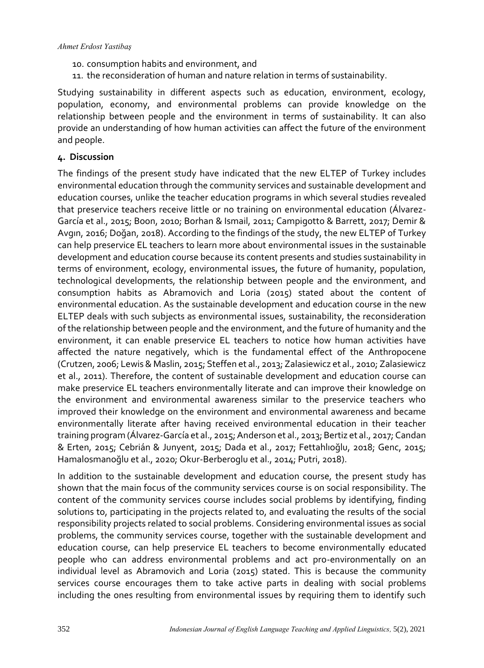- 10. consumption habits and environment, and
- 11. the reconsideration of human and nature relation in terms of sustainability.

Studying sustainability in different aspects such as education, environment, ecology, population, economy, and environmental problems can provide knowledge on the relationship between people and the environment in terms of sustainability. It can also provide an understanding of how human activities can affect the future of the environment and people.

## **4. Discussion**

The findings of the present study have indicated that the new ELTEP of Turkey includes environmental education through the community services and sustainable development and education courses, unlike the teacher education programs in which several studies revealed that preservice teachers receive little or no training on environmental education (Álvarez-García et al., 2015; Boon, 2010; Borhan & Ismail, 2011; Campigotto & Barrett, 2017; Demir & Avgın, 2016; Doğan, 2018). According to the findings of the study, the new ELTEP of Turkey can help preservice EL teachers to learn more about environmental issues in the sustainable development and education course because its content presents and studies sustainability in terms of environment, ecology, environmental issues, the future of humanity, population, technological developments, the relationship between people and the environment, and consumption habits as Abramovich and Loria (2015) stated about the content of environmental education. As the sustainable development and education course in the new ELTEP deals with such subjects as environmental issues, sustainability, the reconsideration of the relationship between people and the environment, and the future of humanity and the environment, it can enable preservice EL teachers to notice how human activities have affected the nature negatively, which is the fundamental effect of the Anthropocene (Crutzen, 2006; Lewis & Maslin, 2015; Steffen et al., 2013; Zalasiewicz et al., 2010; Zalasiewicz et al., 2011). Therefore, the content of sustainable development and education course can make preservice EL teachers environmentally literate and can improve their knowledge on the environment and environmental awareness similar to the preservice teachers who improved their knowledge on the environment and environmental awareness and became environmentally literate after having received environmental education in their teacher training program (Álvarez-García et al., 2015; Anderson et al., 2013; Bertiz et al., 2017; Candan & Erten, 2015; Cebrián & Junyent, 2015; Dada et al., 2017; Fettahlıoğlu, 2018; Genc, 2015; Hamalosmanoğlu et al., 2020; Okur-Berberoglu et al., 2014; Putri, 2018).

In addition to the sustainable development and education course, the present study has shown that the main focus of the community services course is on social responsibility. The content of the community services course includes social problems by identifying, finding solutions to, participating in the projects related to, and evaluating the results of the social responsibility projects related to social problems. Considering environmental issues as social problems, the community services course, together with the sustainable development and education course, can help preservice EL teachers to become environmentally educated people who can address environmental problems and act pro-environmentally on an individual level as Abramovich and Loria (2015) stated. This is because the community services course encourages them to take active parts in dealing with social problems including the ones resulting from environmental issues by requiring them to identify such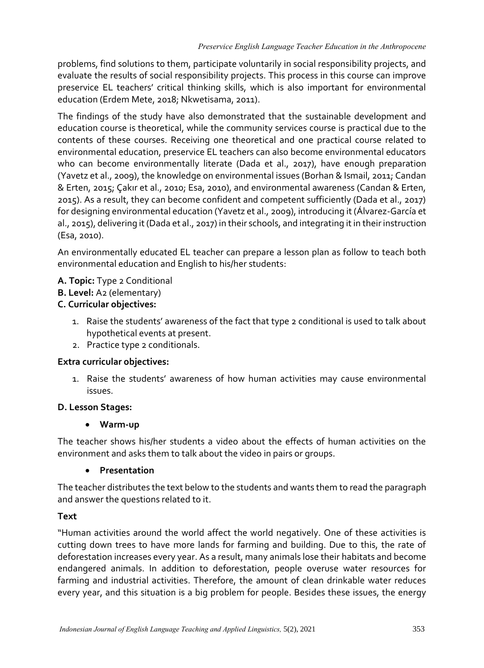problems, find solutions to them, participate voluntarily in social responsibility projects, and evaluate the results of social responsibility projects. This process in this course can improve preservice EL teachers' critical thinking skills, which is also important for environmental education (Erdem Mete, 2018; Nkwetisama, 2011).

The findings of the study have also demonstrated that the sustainable development and education course is theoretical, while the community services course is practical due to the contents of these courses. Receiving one theoretical and one practical course related to environmental education, preservice EL teachers can also become environmental educators who can become environmentally literate (Dada et al., 2017), have enough preparation (Yavetz et al., 2009), the knowledge on environmental issues (Borhan & Ismail, 2011; Candan & Erten, 2015; Çakır et al., 2010; Esa, 2010), and environmental awareness (Candan & Erten, 2015). As a result, they can become confident and competent sufficiently (Dada et al., 2017) for designing environmental education (Yavetz et al., 2009), introducing it (Álvarez-García et al., 2015), delivering it (Dada et al., 2017) in their schools, and integrating it in their instruction (Esa, 2010).

An environmentally educated EL teacher can prepare a lesson plan as follow to teach both environmental education and English to his/her students:

- **A. Topic:** Type 2 Conditional
- **B. Level:** A2 (elementary)

# **C. Curricular objectives:**

- 1. Raise the students' awareness of the fact that type 2 conditional is used to talk about hypothetical events at present.
- 2. Practice type 2 conditionals.

## **Extra curricular objectives:**

1. Raise the students' awareness of how human activities may cause environmental issues.

# **D. Lesson Stages:**

# • **Warm-up**

The teacher shows his/her students a video about the effects of human activities on the environment and asks them to talk about the video in pairs or groups.

## • **Presentation**

The teacher distributes the text below to the students and wants them to read the paragraph and answer the questions related to it.

## **Text**

"Human activities around the world affect the world negatively. One of these activities is cutting down trees to have more lands for farming and building. Due to this, the rate of deforestation increases every year. As a result, many animals lose their habitats and become endangered animals. In addition to deforestation, people overuse water resources for farming and industrial activities. Therefore, the amount of clean drinkable water reduces every year, and this situation is a big problem for people. Besides these issues, the energy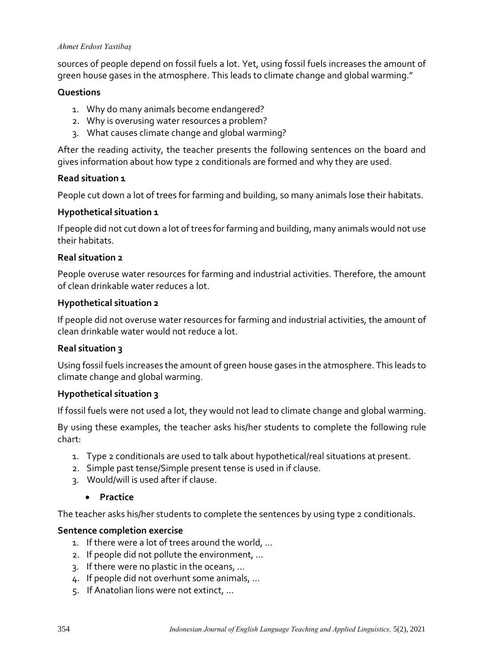#### *Ahmet Erdost Yastibaş*

sources of people depend on fossil fuels a lot. Yet, using fossil fuels increases the amount of green house gases in the atmosphere. This leads to climate change and global warming."

## **Questions**

- 1. Why do many animals become endangered?
- 2. Why is overusing water resources a problem?
- 3. What causes climate change and global warming?

After the reading activity, the teacher presents the following sentences on the board and gives information about how type 2 conditionals are formed and why they are used.

## **Read situation 1**

People cut down a lot of trees for farming and building, so many animals lose their habitats.

## **Hypothetical situation 1**

If people did not cut down a lot of trees for farming and building, many animals would not use their habitats.

## **Real situation 2**

People overuse water resources for farming and industrial activities. Therefore, the amount of clean drinkable water reduces a lot.

## **Hypothetical situation 2**

If people did not overuse water resources for farming and industrial activities, the amount of clean drinkable water would not reduce a lot.

## **Real situation 3**

Using fossil fuels increases the amount of green house gases in the atmosphere. This leads to climate change and global warming.

## **Hypothetical situation 3**

If fossil fuels were not used a lot, they would not lead to climate change and global warming.

By using these examples, the teacher asks his/her students to complete the following rule chart:

- 1. Type 2 conditionals are used to talk about hypothetical/real situations at present.
- 2. Simple past tense/Simple present tense is used in if clause.
- 3. Would/will is used after if clause.

## • **Practice**

The teacher asks his/her students to complete the sentences by using type 2 conditionals.

## **Sentence completion exercise**

- 1. If there were a lot of trees around the world, …
- 2. If people did not pollute the environment, …
- 3. If there were no plastic in the oceans, …
- 4. If people did not overhunt some animals, …
- 5. If Anatolian lions were not extinct, …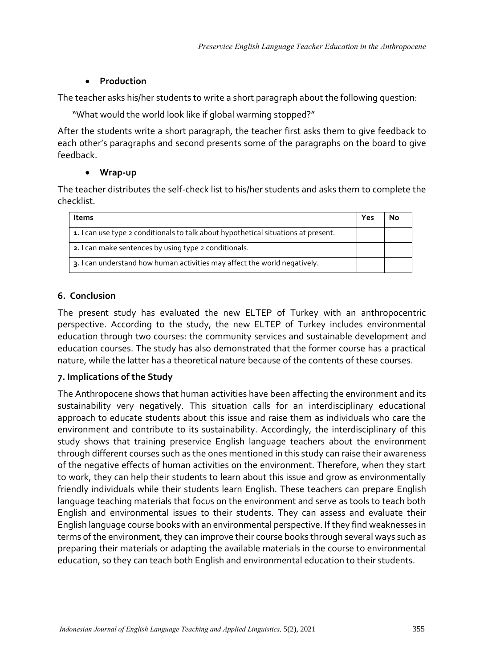# • **Production**

The teacher asks his/her students to write a short paragraph about the following question:

"What would the world look like if global warming stopped?"

After the students write a short paragraph, the teacher first asks them to give feedback to each other's paragraphs and second presents some of the paragraphs on the board to give feedback.

# • **Wrap-up**

The teacher distributes the self-check list to his/her students and asks them to complete the checklist.

| Items                                                                              | Yes |  |
|------------------------------------------------------------------------------------|-----|--|
| 1. I can use type 2 conditionals to talk about hypothetical situations at present. |     |  |
| 2. I can make sentences by using type 2 conditionals.                              |     |  |
| 3. I can understand how human activities may affect the world negatively.          |     |  |

# **6. Conclusion**

The present study has evaluated the new ELTEP of Turkey with an anthropocentric perspective. According to the study, the new ELTEP of Turkey includes environmental education through two courses: the community services and sustainable development and education courses. The study has also demonstrated that the former course has a practical nature, while the latter has a theoretical nature because of the contents of these courses.

# **7. Implications of the Study**

The Anthropocene shows that human activities have been affecting the environment and its sustainability very negatively. This situation calls for an interdisciplinary educational approach to educate students about this issue and raise them as individuals who care the environment and contribute to its sustainability. Accordingly, the interdisciplinary of this study shows that training preservice English language teachers about the environment through different courses such as the ones mentioned in this study can raise their awareness of the negative effects of human activities on the environment. Therefore, when they start to work, they can help their students to learn about this issue and grow as environmentally friendly individuals while their students learn English. These teachers can prepare English language teaching materials that focus on the environment and serve as tools to teach both English and environmental issues to their students. They can assess and evaluate their English language course books with an environmental perspective. If they find weaknesses in terms of the environment, they can improve their course books through several ways such as preparing their materials or adapting the available materials in the course to environmental education, so they can teach both English and environmental education to their students.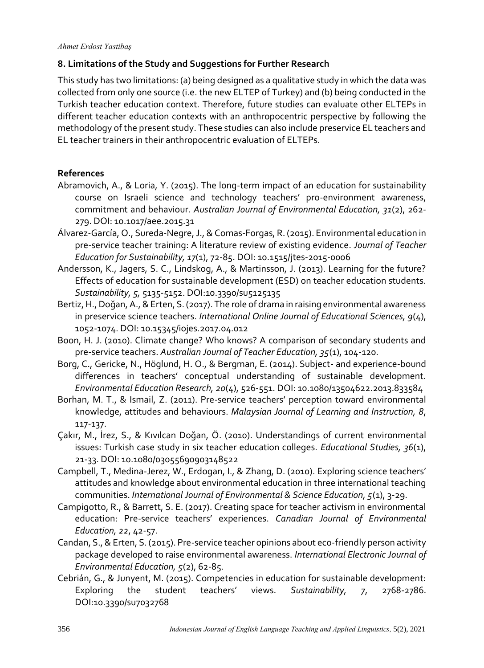# **8. Limitations of the Study and Suggestions for Further Research**

This study has two limitations: (a) being designed as a qualitative study in which the data was collected from only one source (i.e. the new ELTEP of Turkey) and (b) being conducted in the Turkish teacher education context. Therefore, future studies can evaluate other ELTEPs in different teacher education contexts with an anthropocentric perspective by following the methodology of the present study. These studies can also include preservice EL teachers and EL teacher trainers in their anthropocentric evaluation of ELTEPs.

# **References**

- Abramovich, A., & Loria, Y. (2015). The long-term impact of an education for sustainability course on Israeli science and technology teachers' pro-environment awareness, commitment and behaviour. *Australian Journal of Environmental Education, 31*(2), 262- 279. DOI: 10.1017/aee.2015.31
- Álvarez-García, O., Sureda-Negre, J., & Comas-Forgas, R. (2015). Environmental education in pre-service teacher training: A literature review of existing evidence. *Journal of Teacher Education for Sustainability, 17*(1), 72-85. DOI: 10.1515/jtes-2015-0006
- Andersson, K., Jagers, S. C., Lindskog, A., & Martinsson, J. (2013). Learning for the future? Effects of education for sustainable development (ESD) on teacher education students. *Sustainability, 5,* 5135-5152. DOI:10.3390/su5125135
- Bertiz, H., Doğan, A., & Erten, S. (2017). The role of drama in raising environmental awareness in preservice science teachers. *International Online Journal of Educational Sciences, 9*(4), 1052-1074. DOI: 10.15345/iojes.2017.04.012
- Boon, H. J. (2010). Climate change? Who knows? A comparison of secondary students and pre-service teachers. *Australian Journal of Teacher Education, 35*(1), 104-120.
- Borg, C., Gericke, N., Höglund, H. O., & Bergman, E. (2014). Subject- and experience-bound differences in teachers' conceptual understanding of sustainable development. *Environmental Education Research, 20*(4), 526-551. DOI: 10.1080/13504622.2013.833584
- Borhan, M. T., & Ismail, Z. (2011). Pre-service teachers' perception toward environmental knowledge, attitudes and behaviours. *Malaysian Journal of Learning and Instruction, 8*, 117-137.
- Çakır, M., İrez, S., & Kıvılcan Doğan, Ö. (2010). Understandings of current environmental issues: Turkish case study in six teacher education colleges. *Educational Studies, 36*(1), 21-33. DOI: 10.1080/03055690903148522
- Campbell, T., Medina-Jerez, W., Erdogan, I., & Zhang, D. (2010). Exploring science teachers' attitudes and knowledge about environmental education in three international teaching communities. *International Journal of Environmental & Science Education, 5*(1), 3-29.
- Campigotto, R., & Barrett, S. E. (2017). Creating space for teacher activism in environmental education: Pre-service teachers' experiences. *Canadian Journal of Environmental Education, 22*, 42-57.
- Candan, S., & Erten, S. (2015). Pre-service teacher opinions about eco-friendly person activity package developed to raise environmental awareness. *International Electronic Journal of Environmental Education, 5*(2), 62-85.
- Cebrián, G., & Junyent, M. (2015). Competencies in education for sustainable development: Exploring the student teachers' views. *Sustainability, 7*, 2768-2786. DOI:10.3390/su7032768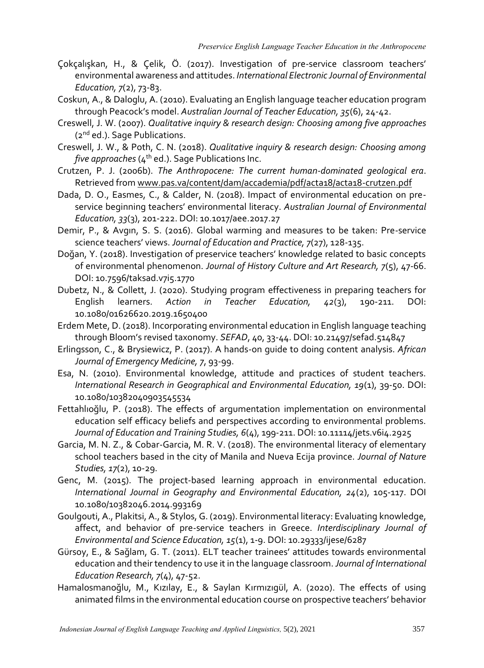- Çokçalışkan, H., & Çelik, Ö. (2017). Investigation of pre-service classroom teachers' environmental awareness and attitudes. *International Electronic Journal of Environmental Education, 7*(2), 73-83.
- Coskun, A., & Daloglu, A. (2010). Evaluating an English language teacher education program through Peacock's model. *Australian Journal of Teacher Education, 35*(6), 24-42.
- Creswell, J. W. (2007). *Qualitative inquiry & research design: Choosing among five approaches*  (2nd ed.). Sage Publications.
- Creswell, J. W., & Poth, C. N. (2018). *Qualitative inquiry & research design: Choosing among five approaches*  $(4<sup>th</sup>$  ed.). Sage Publications Inc.
- Crutzen, P. J. (2006b). *The Anthropocene: The current human-dominated geological era*. Retrieved from [www.pas.va/content/dam/accademia/pdf/acta18/acta18-crutzen.pdf](http://www.pas.va/content/dam/accademia/pdf/acta18/acta18-crutzen.pdf)
- Dada, D. O., Easmes, C., & Calder, N. (2018). Impact of environmental education on preservice beginning teachers' environmental literacy. *Australian Journal of Environmental Education, 33*(3), 201-222. DOI: 10.1017/aee.2017.27
- Demir, P., & Avgın, S. S. (2016). Global warming and measures to be taken: Pre-service science teachers' views. *Journal of Education and Practice, 7*(27), 128-135.
- Doğan, Y. (2018). Investigation of preservice teachers' knowledge related to basic concepts of environmental phenomenon. *Journal of History Culture and Art Research, 7*(5), 47-66. DOI: 10.7596/taksad.v7i5.1770
- Dubetz, N., & Collett, J. (2020). Studying program effectiveness in preparing teachers for English learners. *Action in Teacher Education, 42*(3), 190-211. DOI: 10.1080/01626620.2019.1650400
- Erdem Mete, D. (2018). Incorporating environmental education in English language teaching through Bloom's revised taxonomy. *SEFAD*, 40, 33-44. DOI: 10.21497/sefad.514847
- Erlingsson, C., & Brysiewicz, P. (2017). A hands-on guide to doing content analysis. *African Journal of Emergency Medicine, 7*, 93-99.
- Esa, N. (2010). Environmental knowledge, attitude and practices of student teachers. *International Research in Geographical and Environmental Education, 19*(1), 39-50. DOI: 10.1080/10382040903545534
- Fettahlıoğlu, P. (2018). The effects of argumentation implementation on environmental education self efficacy beliefs and perspectives according to environmental problems. *Journal of Education and Training Studies, 6*(4), 199-211. DOI: 10.11114/jets.v6i4.2925
- Garcia, M. N. Z., & Cobar-Garcia, M. R. V. (2018). The environmental literacy of elementary school teachers based in the city of Manila and Nueva Ecija province. *Journal of Nature Studies, 17*(2), 10-29.
- Genc, M. (2015). The project-based learning approach in environmental education. *International Journal in Geography and Environmental Education, 24*(2), 105-117. DOI 10.1080/10382046.2014.993169
- Goulgouti, A., Plakitsi, A., & Stylos, G. (2019). Environmental literacy: Evaluating knowledge, affect, and behavior of pre-service teachers in Greece. *Interdisciplinary Journal of Environmental and Science Education, 15*(1), 1-9. DOI: 10.29333/ijese/6287
- Gürsoy, E., & Sağlam, G. T. (2011). ELT teacher trainees' attitudes towards environmental education and their tendency to use it in the language classroom. *Journal of International Education Research, 7*(4), 47-52.
- Hamalosmanoğlu, M., Kızılay, E., & Saylan Kırmızıgül, A. (2020). The effects of using animated films in the environmental education course on prospective teachers' behavior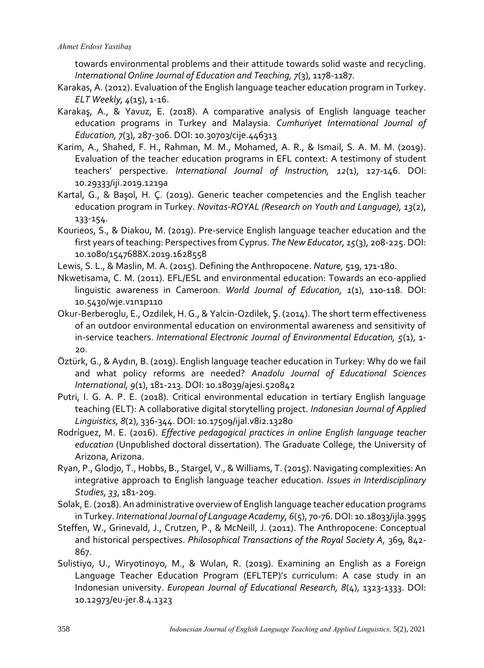towards environmental problems and their attitude towards solid waste and recycling. *International Online Journal of Education and Teaching, 7*(3), 1178-1187.

- Karakas, A. (2012). Evaluation of the English language teacher education program in Turkey. *ELT Weekly, 4*(15), 1-16.
- Karakaş, A., & Yavuz, E. (2018). A comparative analysis of English language teacher education programs in Turkey and Malaysia. *Cumhuriyet International Journal of Education, 7*(3), 287-306. DOI: 10.30703/cije.446313
- Karim, A., Shahed, F. H., Rahman, M. M., Mohamed, A. R., & Ismail, S. A. M. M. (2019). Evaluation of the teacher education programs in EFL context: A testimony of student teachers' perspective. *International Journal of Instruction, 12*(1), 127-146. DOI: 10.29333/iji.2019.1219a
- Kartal, G., & Başol, H. Ç. (2019). Generic teacher competencies and the English teacher education program in Turkey. *Novitas-ROYAL (Research on Youth and Language), 13*(2), 133-154.
- Kourieos, S., & Diakou, M. (2019). Pre-service English language teacher education and the first years of teaching: Perspectives from Cyprus. *The New Educator, 15*(3), 208-225. DOI: 10.1080/1547688X.2019.1628558
- Lewis, S. L., & Maslin, M. A. (2015). Defining the Anthropocene. *Nature,* 519, 171-180.
- Nkwetisama, C. M. (2011). EFL/ESL and environmental education: Towards an eco-applied linguistic awareness in Cameroon. *World Journal of Education, 1*(1), 110-118. DOI: 10.5430/wje.v1n1p110
- Okur-Berberoglu, E., Ozdilek, H. G., & Yalcin-Ozdilek, Ş. (2014). The short term effectiveness of an outdoor environmental education on environmental awareness and sensitivity of in-service teachers. *International Electronic Journal of Environmental Education, 5*(1), 1- 20.
- Öztürk, G., & Aydın, B. (2019). English language teacher education in Turkey: Why do we fail and what policy reforms are needed? *Anadolu Journal of Educational Sciences International, 9*(1), 181-213. DOI: 10.18039/ajesi.520842
- Putri, I. G. A. P. E. (2018). Critical environmental education in tertiary English language teaching (ELT): A collaborative digital storytelling project. *Indonesian Journal of Applied Linguistics, 8*(2), 336-344. DOI: 10.17509/ijal.v8i2.13280
- Rodríguez, M. E. (2016). *Effective pedagogical practices in online English language teacher education* (Unpublished doctoral dissertation). The Graduate College, the University of Arizona, Arizona.
- Ryan, P., Glodjo, T., Hobbs, B., Stargel, V., & Williams, T. (2015). Navigating complexities: An integrative approach to English language teacher education. *Issues in Interdisciplinary Studies, 33*, 181-209.
- Solak, E. (2018). An administrative overview of English language teacher education programs in Turkey. *International Journal of Language Academy, 6*(5), 70-76. DOI: 10.18033/ijla.3995
- Steffen, W., Grinevald, J., Crutzen, P., & McNeill, J. (2011). The Anthropocene: Conceptual and historical perspectives. *Philosophical Transactions of the Royal Society A,* 369, 842- 867.
- Sulistiyo, U., Wiryotinoyo, M., & Wulan, R. (2019). Examining an English as a Foreign Language Teacher Education Program (EFLTEP)'s curriculum: A case study in an Indonesian university. *European Journal of Educational Research, 8*(4), 1323-1333. DOI: 10.12973/eu-jer.8.4.1323